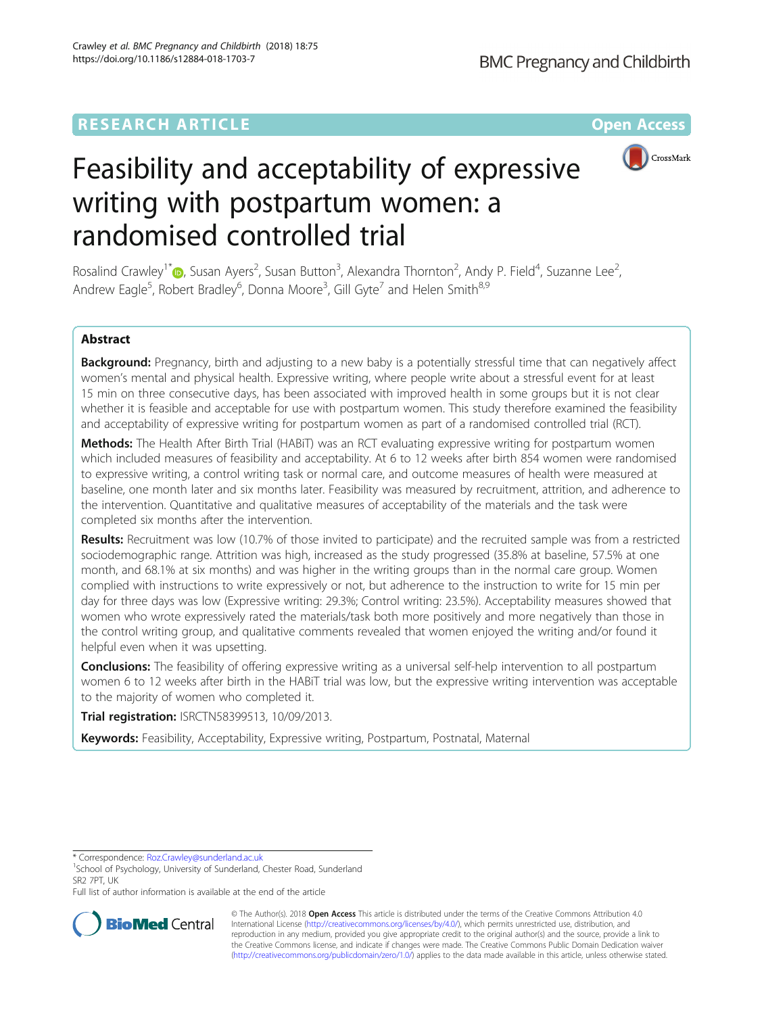# **RESEARCH ARTICLE Example 2018 12:00 Department of the CONNECTION CONNECTION CONNECTION CONNECTION**



# Feasibility and acceptability of expressive writing with postpartum women: a randomised controlled trial

Rosalind Crawley<sup>1[\\*](http://orcid.org/0000-0002-2321-463X)</sup> (b), Susan Ayers<sup>2</sup>, Susan Button<sup>3</sup>, Alexandra Thornton<sup>2</sup>, Andy P. Field<sup>4</sup>, Suzanne Lee<sup>2</sup> , Andrew Eagle<sup>5</sup>, Robert Bradley<sup>6</sup>, Donna Moore<sup>3</sup>, Gill Gyte<sup>7</sup> and Helen Smith<sup>8,9</sup>

## Abstract

Background: Pregnancy, birth and adjusting to a new baby is a potentially stressful time that can negatively affect women's mental and physical health. Expressive writing, where people write about a stressful event for at least 15 min on three consecutive days, has been associated with improved health in some groups but it is not clear whether it is feasible and acceptable for use with postpartum women. This study therefore examined the feasibility and acceptability of expressive writing for postpartum women as part of a randomised controlled trial (RCT).

Methods: The Health After Birth Trial (HABiT) was an RCT evaluating expressive writing for postpartum women which included measures of feasibility and acceptability. At 6 to 12 weeks after birth 854 women were randomised to expressive writing, a control writing task or normal care, and outcome measures of health were measured at baseline, one month later and six months later. Feasibility was measured by recruitment, attrition, and adherence to the intervention. Quantitative and qualitative measures of acceptability of the materials and the task were completed six months after the intervention.

Results: Recruitment was low (10.7% of those invited to participate) and the recruited sample was from a restricted sociodemographic range. Attrition was high, increased as the study progressed (35.8% at baseline, 57.5% at one month, and 68.1% at six months) and was higher in the writing groups than in the normal care group. Women complied with instructions to write expressively or not, but adherence to the instruction to write for 15 min per day for three days was low (Expressive writing: 29.3%; Control writing: 23.5%). Acceptability measures showed that women who wrote expressively rated the materials/task both more positively and more negatively than those in the control writing group, and qualitative comments revealed that women enjoyed the writing and/or found it helpful even when it was upsetting.

**Conclusions:** The feasibility of offering expressive writing as a universal self-help intervention to all postpartum women 6 to 12 weeks after birth in the HABiT trial was low, but the expressive writing intervention was acceptable to the majority of women who completed it.

Trial registration: ISRCTN58399513, 10/09/2013.

Keywords: Feasibility, Acceptability, Expressive writing, Postpartum, Postnatal, Maternal

Full list of author information is available at the end of the article



© The Author(s). 2018 Open Access This article is distributed under the terms of the Creative Commons Attribution 4.0 International License [\(http://creativecommons.org/licenses/by/4.0/](http://creativecommons.org/licenses/by/4.0/)), which permits unrestricted use, distribution, and reproduction in any medium, provided you give appropriate credit to the original author(s) and the source, provide a link to the Creative Commons license, and indicate if changes were made. The Creative Commons Public Domain Dedication waiver [\(http://creativecommons.org/publicdomain/zero/1.0/](http://creativecommons.org/publicdomain/zero/1.0/)) applies to the data made available in this article, unless otherwise stated.

<sup>\*</sup> Correspondence: [Roz.Crawley@sunderland.ac.uk](mailto:Roz.Crawley@sunderland.ac.uk) <sup>1</sup>

<sup>&</sup>lt;sup>1</sup>School of Psychology, University of Sunderland, Chester Road, Sunderland SR2 7PT, UK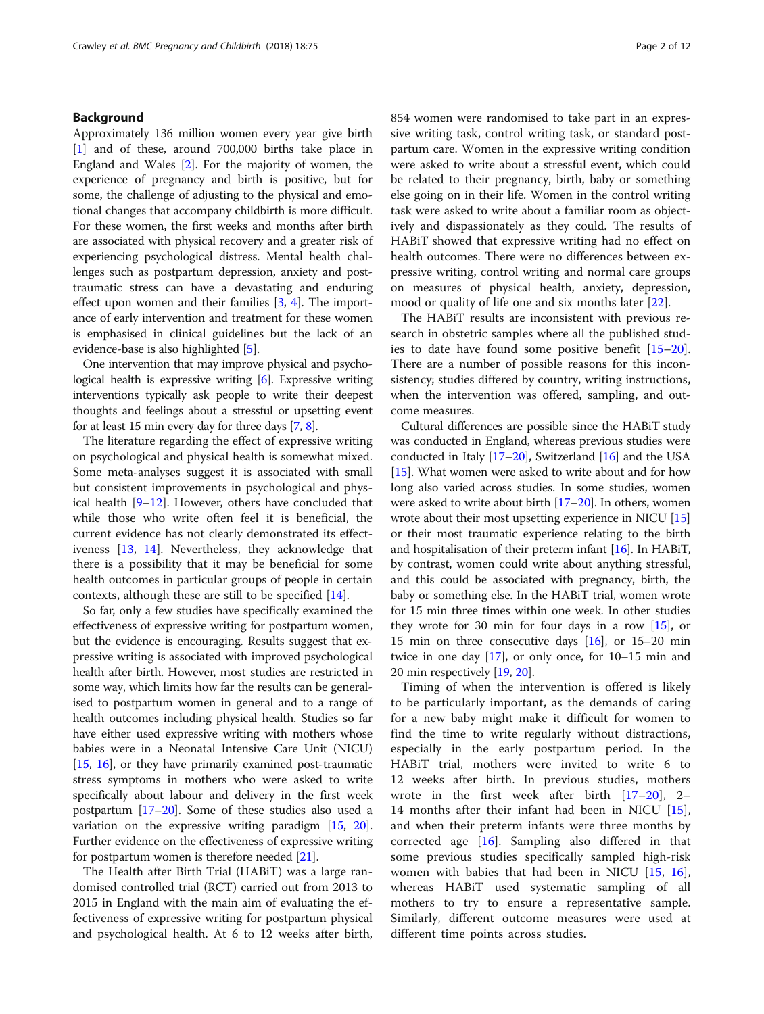## Background

Approximately 136 million women every year give birth [[1\]](#page-10-0) and of these, around 700,000 births take place in England and Wales [\[2\]](#page-10-0). For the majority of women, the experience of pregnancy and birth is positive, but for some, the challenge of adjusting to the physical and emotional changes that accompany childbirth is more difficult. For these women, the first weeks and months after birth are associated with physical recovery and a greater risk of experiencing psychological distress. Mental health challenges such as postpartum depression, anxiety and posttraumatic stress can have a devastating and enduring effect upon women and their families [[3](#page-10-0), [4\]](#page-10-0). The importance of early intervention and treatment for these women is emphasised in clinical guidelines but the lack of an evidence-base is also highlighted [\[5](#page-10-0)].

One intervention that may improve physical and psychological health is expressive writing [[6](#page-10-0)]. Expressive writing interventions typically ask people to write their deepest thoughts and feelings about a stressful or upsetting event for at least 15 min every day for three days [\[7,](#page-10-0) [8](#page-10-0)].

The literature regarding the effect of expressive writing on psychological and physical health is somewhat mixed. Some meta-analyses suggest it is associated with small but consistent improvements in psychological and physical health  $[9-12]$  $[9-12]$  $[9-12]$ . However, others have concluded that while those who write often feel it is beneficial, the current evidence has not clearly demonstrated its effectiveness [[13](#page-10-0), [14](#page-10-0)]. Nevertheless, they acknowledge that there is a possibility that it may be beneficial for some health outcomes in particular groups of people in certain contexts, although these are still to be specified [\[14](#page-10-0)].

So far, only a few studies have specifically examined the effectiveness of expressive writing for postpartum women, but the evidence is encouraging. Results suggest that expressive writing is associated with improved psychological health after birth. However, most studies are restricted in some way, which limits how far the results can be generalised to postpartum women in general and to a range of health outcomes including physical health. Studies so far have either used expressive writing with mothers whose babies were in a Neonatal Intensive Care Unit (NICU) [[15](#page-10-0), [16\]](#page-10-0), or they have primarily examined post-traumatic stress symptoms in mothers who were asked to write specifically about labour and delivery in the first week postpartum [[17](#page-11-0)–[20\]](#page-11-0). Some of these studies also used a variation on the expressive writing paradigm [\[15,](#page-10-0) [20](#page-11-0)]. Further evidence on the effectiveness of expressive writing for postpartum women is therefore needed [[21](#page-11-0)].

The Health after Birth Trial (HABiT) was a large randomised controlled trial (RCT) carried out from 2013 to 2015 in England with the main aim of evaluating the effectiveness of expressive writing for postpartum physical and psychological health. At 6 to 12 weeks after birth, 854 women were randomised to take part in an expressive writing task, control writing task, or standard postpartum care. Women in the expressive writing condition were asked to write about a stressful event, which could be related to their pregnancy, birth, baby or something else going on in their life. Women in the control writing task were asked to write about a familiar room as objectively and dispassionately as they could. The results of HABiT showed that expressive writing had no effect on health outcomes. There were no differences between expressive writing, control writing and normal care groups on measures of physical health, anxiety, depression, mood or quality of life one and six months later [[22\]](#page-11-0).

The HABiT results are inconsistent with previous research in obstetric samples where all the published studies to date have found some positive benefit [[15](#page-10-0)–[20](#page-11-0)]. There are a number of possible reasons for this inconsistency; studies differed by country, writing instructions, when the intervention was offered, sampling, and outcome measures.

Cultural differences are possible since the HABiT study was conducted in England, whereas previous studies were conducted in Italy [\[17](#page-11-0)–[20](#page-11-0)], Switzerland [\[16\]](#page-10-0) and the USA [[15](#page-10-0)]. What women were asked to write about and for how long also varied across studies. In some studies, women were asked to write about birth [\[17](#page-11-0)–[20](#page-11-0)]. In others, women wrote about their most upsetting experience in NICU [[15](#page-10-0)] or their most traumatic experience relating to the birth and hospitalisation of their preterm infant [\[16\]](#page-10-0). In HABiT, by contrast, women could write about anything stressful, and this could be associated with pregnancy, birth, the baby or something else. In the HABiT trial, women wrote for 15 min three times within one week. In other studies they wrote for 30 min for four days in a row  $[15]$ , or 15 min on three consecutive days  $[16]$  $[16]$  $[16]$ , or 15–20 min twice in one day [\[17\]](#page-11-0), or only once, for 10–15 min and 20 min respectively [[19](#page-11-0), [20\]](#page-11-0).

Timing of when the intervention is offered is likely to be particularly important, as the demands of caring for a new baby might make it difficult for women to find the time to write regularly without distractions, especially in the early postpartum period. In the HABiT trial, mothers were invited to write 6 to 12 weeks after birth. In previous studies, mothers wrote in the first week after birth [[17](#page-11-0)–[20\]](#page-11-0), 2– 14 months after their infant had been in NICU [\[15](#page-10-0)], and when their preterm infants were three months by corrected age [[16\]](#page-10-0). Sampling also differed in that some previous studies specifically sampled high-risk women with babies that had been in NICU [[15](#page-10-0), [16](#page-10-0)], whereas HABiT used systematic sampling of all mothers to try to ensure a representative sample. Similarly, different outcome measures were used at different time points across studies.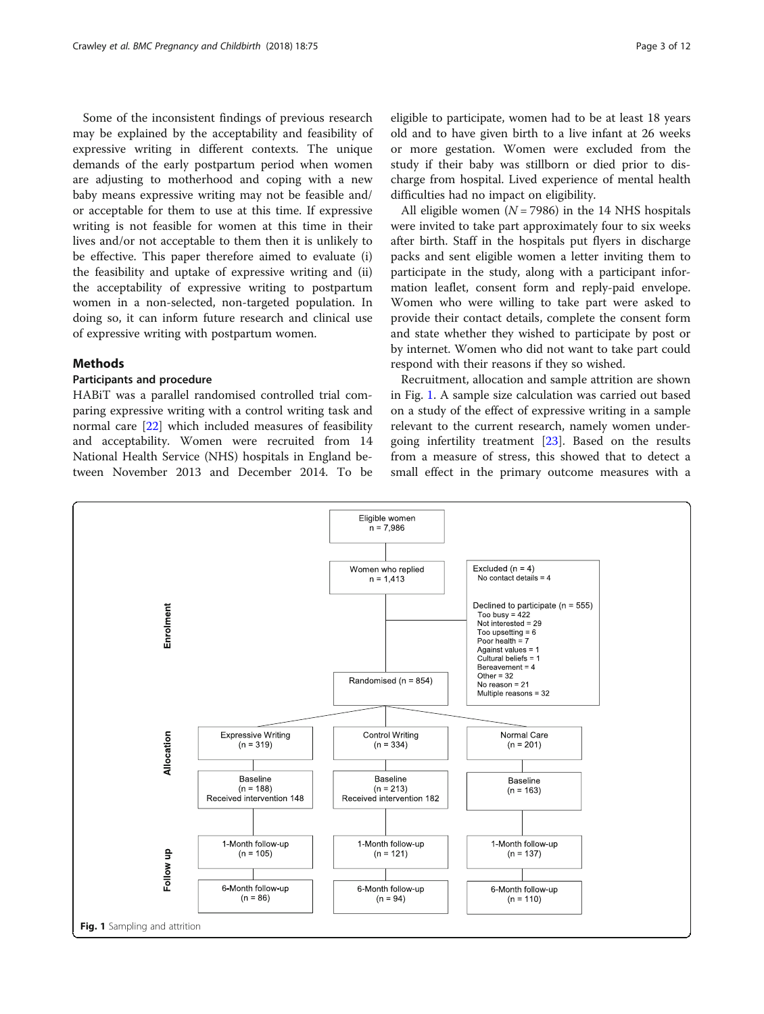<span id="page-2-0"></span>Some of the inconsistent findings of previous research may be explained by the acceptability and feasibility of expressive writing in different contexts. The unique demands of the early postpartum period when women are adjusting to motherhood and coping with a new baby means expressive writing may not be feasible and/ or acceptable for them to use at this time. If expressive writing is not feasible for women at this time in their lives and/or not acceptable to them then it is unlikely to be effective. This paper therefore aimed to evaluate (i) the feasibility and uptake of expressive writing and (ii) the acceptability of expressive writing to postpartum women in a non-selected, non-targeted population. In doing so, it can inform future research and clinical use of expressive writing with postpartum women.

## Methods

## Participants and procedure

HABiT was a parallel randomised controlled trial comparing expressive writing with a control writing task and normal care [[22\]](#page-11-0) which included measures of feasibility and acceptability. Women were recruited from 14 National Health Service (NHS) hospitals in England between November 2013 and December 2014. To be eligible to participate, women had to be at least 18 years old and to have given birth to a live infant at 26 weeks or more gestation. Women were excluded from the study if their baby was stillborn or died prior to discharge from hospital. Lived experience of mental health difficulties had no impact on eligibility.

All eligible women ( $N = 7986$ ) in the 14 NHS hospitals were invited to take part approximately four to six weeks after birth. Staff in the hospitals put flyers in discharge packs and sent eligible women a letter inviting them to participate in the study, along with a participant information leaflet, consent form and reply-paid envelope. Women who were willing to take part were asked to provide their contact details, complete the consent form and state whether they wished to participate by post or by internet. Women who did not want to take part could respond with their reasons if they so wished.

Recruitment, allocation and sample attrition are shown in Fig. 1. A sample size calculation was carried out based on a study of the effect of expressive writing in a sample relevant to the current research, namely women undergoing infertility treatment [[23](#page-11-0)]. Based on the results from a measure of stress, this showed that to detect a small effect in the primary outcome measures with a

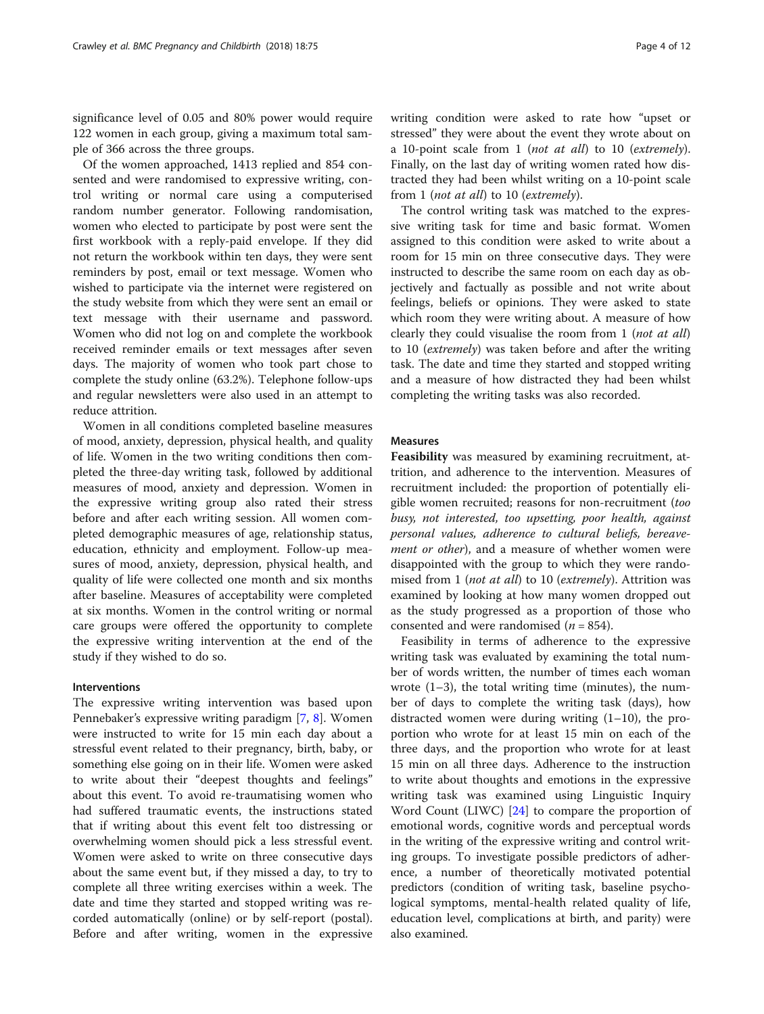significance level of 0.05 and 80% power would require 122 women in each group, giving a maximum total sample of 366 across the three groups.

Of the women approached, 1413 replied and 854 consented and were randomised to expressive writing, control writing or normal care using a computerised random number generator. Following randomisation, women who elected to participate by post were sent the first workbook with a reply-paid envelope. If they did not return the workbook within ten days, they were sent reminders by post, email or text message. Women who wished to participate via the internet were registered on the study website from which they were sent an email or text message with their username and password. Women who did not log on and complete the workbook received reminder emails or text messages after seven days. The majority of women who took part chose to complete the study online (63.2%). Telephone follow-ups and regular newsletters were also used in an attempt to reduce attrition.

Women in all conditions completed baseline measures of mood, anxiety, depression, physical health, and quality of life. Women in the two writing conditions then completed the three-day writing task, followed by additional measures of mood, anxiety and depression. Women in the expressive writing group also rated their stress before and after each writing session. All women completed demographic measures of age, relationship status, education, ethnicity and employment. Follow-up measures of mood, anxiety, depression, physical health, and quality of life were collected one month and six months after baseline. Measures of acceptability were completed at six months. Women in the control writing or normal care groups were offered the opportunity to complete the expressive writing intervention at the end of the study if they wished to do so.

## Interventions

The expressive writing intervention was based upon Pennebaker's expressive writing paradigm [\[7,](#page-10-0) [8](#page-10-0)]. Women were instructed to write for 15 min each day about a stressful event related to their pregnancy, birth, baby, or something else going on in their life. Women were asked to write about their "deepest thoughts and feelings" about this event. To avoid re-traumatising women who had suffered traumatic events, the instructions stated that if writing about this event felt too distressing or overwhelming women should pick a less stressful event. Women were asked to write on three consecutive days about the same event but, if they missed a day, to try to complete all three writing exercises within a week. The date and time they started and stopped writing was recorded automatically (online) or by self-report (postal). Before and after writing, women in the expressive writing condition were asked to rate how "upset or stressed" they were about the event they wrote about on a 10-point scale from 1 (not at all) to 10 (extremely). Finally, on the last day of writing women rated how distracted they had been whilst writing on a 10-point scale from 1 (not at all) to 10 (extremely).

The control writing task was matched to the expressive writing task for time and basic format. Women assigned to this condition were asked to write about a room for 15 min on three consecutive days. They were instructed to describe the same room on each day as objectively and factually as possible and not write about feelings, beliefs or opinions. They were asked to state which room they were writing about. A measure of how clearly they could visualise the room from 1 (not at all) to 10 (extremely) was taken before and after the writing task. The date and time they started and stopped writing and a measure of how distracted they had been whilst completing the writing tasks was also recorded.

#### Measures

Feasibility was measured by examining recruitment, attrition, and adherence to the intervention. Measures of recruitment included: the proportion of potentially eligible women recruited; reasons for non-recruitment (too busy, not interested, too upsetting, poor health, against personal values, adherence to cultural beliefs, bereavement or other), and a measure of whether women were disappointed with the group to which they were randomised from 1 (not at all) to 10 (extremely). Attrition was examined by looking at how many women dropped out as the study progressed as a proportion of those who consented and were randomised ( $n = 854$ ).

Feasibility in terms of adherence to the expressive writing task was evaluated by examining the total number of words written, the number of times each woman wrote  $(1-3)$ , the total writing time (minutes), the number of days to complete the writing task (days), how distracted women were during writing (1–10), the proportion who wrote for at least 15 min on each of the three days, and the proportion who wrote for at least 15 min on all three days. Adherence to the instruction to write about thoughts and emotions in the expressive writing task was examined using Linguistic Inquiry Word Count (LIWC) [[24](#page-11-0)] to compare the proportion of emotional words, cognitive words and perceptual words in the writing of the expressive writing and control writing groups. To investigate possible predictors of adherence, a number of theoretically motivated potential predictors (condition of writing task, baseline psychological symptoms, mental-health related quality of life, education level, complications at birth, and parity) were also examined.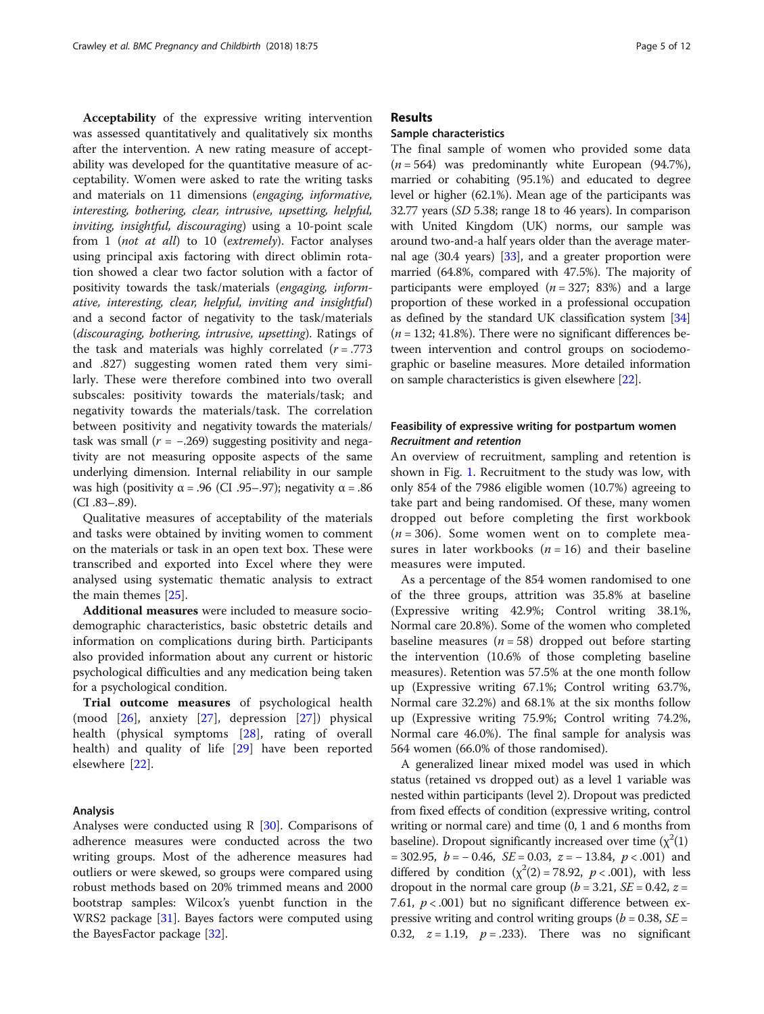Acceptability of the expressive writing intervention was assessed quantitatively and qualitatively six months after the intervention. A new rating measure of acceptability was developed for the quantitative measure of acceptability. Women were asked to rate the writing tasks and materials on 11 dimensions (engaging, informative, interesting, bothering, clear, intrusive, upsetting, helpful, inviting, insightful, discouraging) using a 10-point scale from 1 (not at all) to 10 (extremely). Factor analyses using principal axis factoring with direct oblimin rotation showed a clear two factor solution with a factor of positivity towards the task/materials (engaging, informative, interesting, clear, helpful, inviting and insightful) and a second factor of negativity to the task/materials (discouraging, bothering, intrusive, upsetting). Ratings of the task and materials was highly correlated  $(r = .773)$ and .827) suggesting women rated them very similarly. These were therefore combined into two overall subscales: positivity towards the materials/task; and negativity towards the materials/task. The correlation between positivity and negativity towards the materials/ task was small ( $r = -.269$ ) suggesting positivity and negativity are not measuring opposite aspects of the same underlying dimension. Internal reliability in our sample was high (positivity  $\alpha$  = .96 (CI .95–.97); negativity  $\alpha$  = .86 (CI .83–.89).

Qualitative measures of acceptability of the materials and tasks were obtained by inviting women to comment on the materials or task in an open text box. These were transcribed and exported into Excel where they were analysed using systematic thematic analysis to extract the main themes [\[25](#page-11-0)].

Additional measures were included to measure sociodemographic characteristics, basic obstetric details and information on complications during birth. Participants also provided information about any current or historic psychological difficulties and any medication being taken for a psychological condition.

Trial outcome measures of psychological health (mood [\[26](#page-11-0)], anxiety [[27\]](#page-11-0), depression [[27\]](#page-11-0)) physical health (physical symptoms [[28\]](#page-11-0), rating of overall health) and quality of life [[29\]](#page-11-0) have been reported elsewhere [\[22](#page-11-0)].

## Analysis

Analyses were conducted using  $R$  [[30](#page-11-0)]. Comparisons of adherence measures were conducted across the two writing groups. Most of the adherence measures had outliers or were skewed, so groups were compared using robust methods based on 20% trimmed means and 2000 bootstrap samples: Wilcox's yuenbt function in the WRS2 package [\[31](#page-11-0)]. Bayes factors were computed using the BayesFactor package [[32](#page-11-0)].

#### Results

#### Sample characteristics

The final sample of women who provided some data  $(n = 564)$  was predominantly white European (94.7%), married or cohabiting (95.1%) and educated to degree level or higher (62.1%). Mean age of the participants was 32.77 years (SD 5.38; range 18 to 46 years). In comparison with United Kingdom (UK) norms, our sample was around two-and-a half years older than the average maternal age  $(30.4 \text{ years})$   $[33]$ , and a greater proportion were married (64.8%, compared with 47.5%). The majority of participants were employed  $(n = 327; 83%)$  and a large proportion of these worked in a professional occupation as defined by the standard UK classification system [[34](#page-11-0)]  $(n = 132; 41.8\%)$ . There were no significant differences between intervention and control groups on sociodemographic or baseline measures. More detailed information on sample characteristics is given elsewhere [\[22\]](#page-11-0).

## Feasibility of expressive writing for postpartum women Recruitment and retention

An overview of recruitment, sampling and retention is shown in Fig. [1.](#page-2-0) Recruitment to the study was low, with only 854 of the 7986 eligible women (10.7%) agreeing to take part and being randomised. Of these, many women dropped out before completing the first workbook  $(n = 306)$ . Some women went on to complete measures in later workbooks  $(n = 16)$  and their baseline measures were imputed.

As a percentage of the 854 women randomised to one of the three groups, attrition was 35.8% at baseline (Expressive writing 42.9%; Control writing 38.1%, Normal care 20.8%). Some of the women who completed baseline measures ( $n = 58$ ) dropped out before starting the intervention (10.6% of those completing baseline measures). Retention was 57.5% at the one month follow up (Expressive writing 67.1%; Control writing 63.7%, Normal care 32.2%) and 68.1% at the six months follow up (Expressive writing 75.9%; Control writing 74.2%, Normal care 46.0%). The final sample for analysis was 564 women (66.0% of those randomised).

A generalized linear mixed model was used in which status (retained vs dropped out) as a level 1 variable was nested within participants (level 2). Dropout was predicted from fixed effects of condition (expressive writing, control writing or normal care) and time (0, 1 and 6 months from baseline). Dropout significantly increased over time  $(\chi^2(1))$  $= 302.95, b = -0.46, SE = 0.03, z = -13.84, p < .001)$  and differed by condition  $(\chi^2(2) = 78.92, p < .001)$ , with less dropout in the normal care group ( $b = 3.21$ ,  $SE = 0.42$ ,  $z =$ 7.61,  $p < .001$ ) but no significant difference between expressive writing and control writing groups ( $b = 0.38$ ,  $SE =$ 0.32,  $z = 1.19$ ,  $p = .233$ ). There was no significant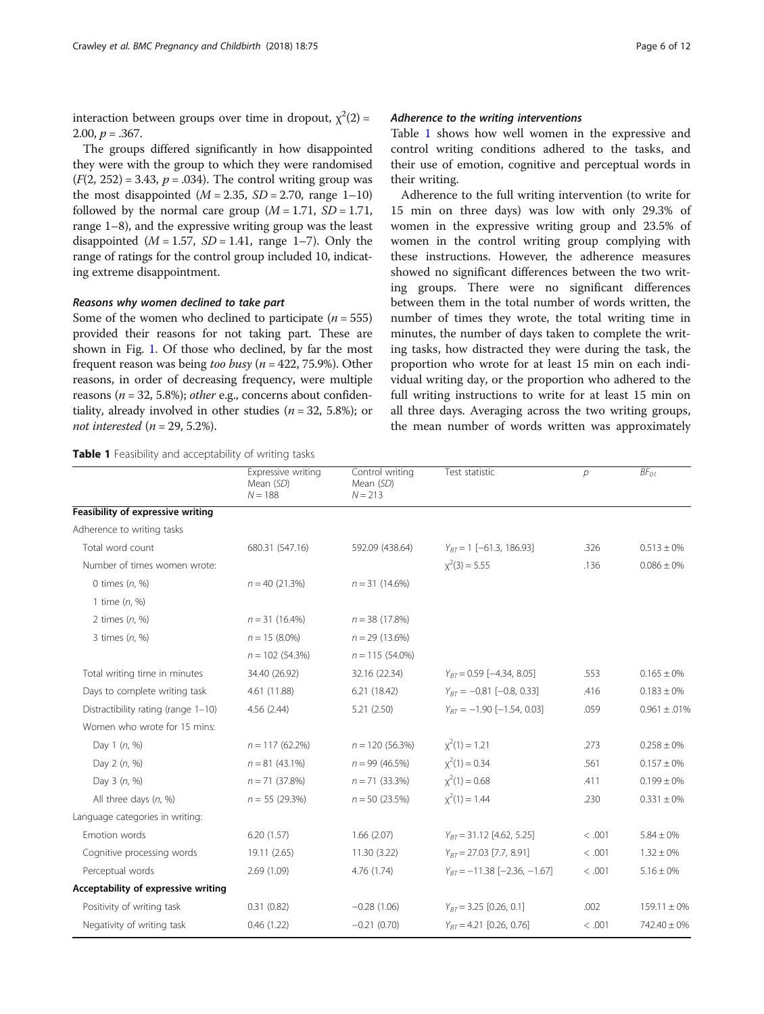<span id="page-5-0"></span>interaction between groups over time in dropout,  $\chi^2(2)$  = 2.00,  $p = .367$ .

The groups differed significantly in how disappointed they were with the group to which they were randomised  $(F(2, 252) = 3.43, p = .034)$ . The control writing group was the most disappointed  $(M = 2.35, SD = 2.70, range 1-10)$ followed by the normal care group  $(M = 1.71, SD = 1.71,$ range 1–8), and the expressive writing group was the least disappointed  $(M = 1.57, SD = 1.41, range 1–7)$ . Only the range of ratings for the control group included 10, indicating extreme disappointment.

#### Reasons why women declined to take part

Some of the women who declined to participate  $(n = 555)$ provided their reasons for not taking part. These are shown in Fig. [1.](#page-2-0) Of those who declined, by far the most frequent reason was being *too busy* ( $n = 422, 75.9\%$ ). Other reasons, in order of decreasing frequency, were multiple reasons ( $n = 32, 5.8\%$ ); *other e.g.*, concerns about confidentiality, already involved in other studies ( $n = 32, 5.8\%$ ); or not interested  $(n = 29, 5.2\%).$ 

## Table 1 Feasibility and acceptability of writing tasks

#### Adherence to the writing interventions

Table 1 shows how well women in the expressive and control writing conditions adhered to the tasks, and their use of emotion, cognitive and perceptual words in their writing.

Adherence to the full writing intervention (to write for 15 min on three days) was low with only 29.3% of women in the expressive writing group and 23.5% of women in the control writing group complying with these instructions. However, the adherence measures showed no significant differences between the two writing groups. There were no significant differences between them in the total number of words written, the number of times they wrote, the total writing time in minutes, the number of days taken to complete the writing tasks, how distracted they were during the task, the proportion who wrote for at least 15 min on each individual writing day, or the proportion who adhered to the full writing instructions to write for at least 15 min on all three days. Averaging across the two writing groups, the mean number of words written was approximately

|                                     | Expressive writing<br>Mean (SD)<br>$N = 188$ | Control writing<br>Mean (SD)<br>$N = 213$ | Test statistic                  | $\overline{p}$ | $BF_{O1}$         |
|-------------------------------------|----------------------------------------------|-------------------------------------------|---------------------------------|----------------|-------------------|
| Feasibility of expressive writing   |                                              |                                           |                                 |                |                   |
| Adherence to writing tasks          |                                              |                                           |                                 |                |                   |
| Total word count                    | 680.31 (547.16)                              | 592.09 (438.64)                           | $Y_{BT}$ = 1 [-61.3, 186.93]    | .326           | $0.513 \pm 0\%$   |
| Number of times women wrote:        |                                              |                                           | $x^2(3) = 5.55$                 | .136           | $0.086 \pm 0\%$   |
| 0 times $(n, %)$                    | $n = 40(21.3%)$                              | $n = 31(14.6%)$                           |                                 |                |                   |
| 1 time $(n, %)$                     |                                              |                                           |                                 |                |                   |
| 2 times $(n, %)$                    | $n = 31(16.4\%)$                             | $n = 38(17.8%)$                           |                                 |                |                   |
| 3 times $(n, %)$                    | $n = 15(8.0\%)$                              | $n = 29(13.6\%)$                          |                                 |                |                   |
|                                     | $n = 102(54.3\%)$                            | $n = 115(54.0\%)$                         |                                 |                |                   |
| Total writing time in minutes       | 34.40 (26.92)                                | 32.16 (22.34)                             | $Y_{BT}$ = 0.59 [-4.34, 8.05]   | .553           | $0.165 \pm 0\%$   |
| Days to complete writing task       | 4.61 (11.88)                                 | 6.21(18.42)                               | $Y_{BT} = -0.81$ [-0.8, 0.33]   | .416           | $0.183 \pm 0\%$   |
| Distractibility rating (range 1-10) | 4.56(2.44)                                   | 5.21(2.50)                                | $Y_{RT} = -1.90$ [-1.54, 0.03]  | .059           | $0.961 \pm .01\%$ |
| Women who wrote for 15 mins:        |                                              |                                           |                                 |                |                   |
| Day 1 $(n, %)$                      | $n = 117(62.2\%)$                            | $n = 120(56.3\%)$                         | $x^2(1) = 1.21$                 | .273           | $0.258 \pm 0\%$   |
| Day 2 (n, %)                        | $n = 81(43.1\%)$                             | $n = 99(46.5\%)$                          | $x^2(1) = 0.34$                 | .561           | $0.157 \pm 0\%$   |
| Day 3 (n, %)                        | $n = 71(37.8%)$                              | $n = 71(33.3\%)$                          | $x^2(1) = 0.68$                 | .411           | $0.199 \pm 0\%$   |
| All three days $(n, %)$             | $n = 55(29.3%)$                              | $n = 50$ (23.5%)                          | $x^2(1) = 1.44$                 | .230           | $0.331 \pm 0\%$   |
| Language categories in writing:     |                                              |                                           |                                 |                |                   |
| Emotion words                       | 6.20(1.57)                                   | 1.66(2.07)                                | $Y_{BT}$ = 31.12 [4.62, 5.25]   | < .001         | $5.84 \pm 0\%$    |
| Cognitive processing words          | 19.11 (2.65)                                 | 11.30 (3.22)                              | $Y_{BT}$ = 27.03 [7.7, 8.91]    | < .001         | $1.32 \pm 0\%$    |
| Perceptual words                    | 2.69(1.09)                                   | 4.76 (1.74)                               | $Y_{BT} = -11.38[-2.36, -1.67]$ | < .001         | $5.16 \pm 0\%$    |
| Acceptability of expressive writing |                                              |                                           |                                 |                |                   |
| Positivity of writing task          | 0.31(0.82)                                   | $-0.28(1.06)$                             | $Y_{BT}$ = 3.25 [0.26, 0.1]     | .002           | $159.11 \pm 0\%$  |
| Negativity of writing task          | 0.46(1.22)                                   | $-0.21(0.70)$                             | $Y_{BT} = 4.21$ [0.26, 0.76]    | < .001         | 742.40 ± 0%       |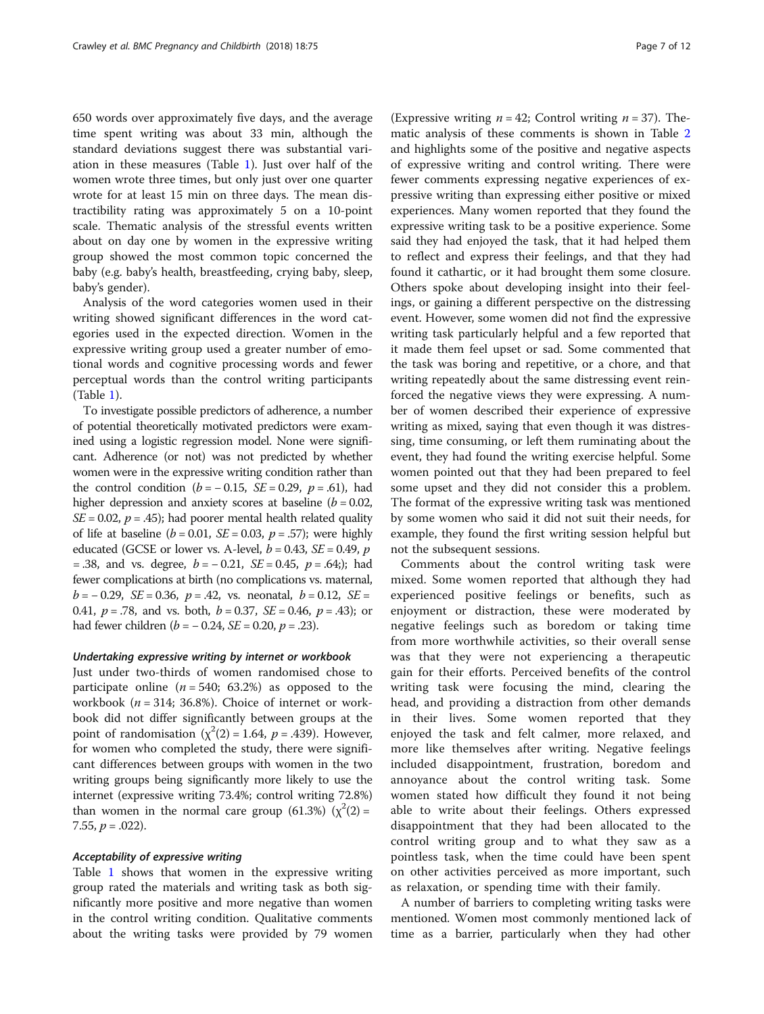650 words over approximately five days, and the average time spent writing was about 33 min, although the standard deviations suggest there was substantial variation in these measures (Table [1](#page-5-0)). Just over half of the women wrote three times, but only just over one quarter wrote for at least 15 min on three days. The mean distractibility rating was approximately 5 on a 10-point scale. Thematic analysis of the stressful events written about on day one by women in the expressive writing group showed the most common topic concerned the baby (e.g. baby's health, breastfeeding, crying baby, sleep, baby's gender).

Analysis of the word categories women used in their writing showed significant differences in the word categories used in the expected direction. Women in the expressive writing group used a greater number of emotional words and cognitive processing words and fewer perceptual words than the control writing participants (Table [1\)](#page-5-0).

To investigate possible predictors of adherence, a number of potential theoretically motivated predictors were examined using a logistic regression model. None were significant. Adherence (or not) was not predicted by whether women were in the expressive writing condition rather than the control condition ( $b = -0.15$ ,  $SE = 0.29$ ,  $p = .61$ ), had higher depression and anxiety scores at baseline  $(b = 0.02,$  $SE = 0.02$ ,  $p = .45$ ); had poorer mental health related quality of life at baseline ( $b = 0.01$ ,  $SE = 0.03$ ,  $p = .57$ ); were highly educated (GCSE or lower vs. A-level,  $b = 0.43$ ,  $SE = 0.49$ ,  $p$ = .38, and vs. degree,  $b = -0.21$ ,  $SE = 0.45$ ,  $p = .64$ ;); had fewer complications at birth (no complications vs. maternal,  $b = -0.29$ ,  $SE = 0.36$ ,  $p = .42$ , vs. neonatal,  $b = 0.12$ ,  $SE =$ 0.41,  $p = .78$ , and vs. both,  $b = 0.37$ ,  $SE = 0.46$ ,  $p = .43$ ); or had fewer children ( $b = -0.24$ ,  $SE = 0.20$ ,  $p = .23$ ).

#### Undertaking expressive writing by internet or workbook

Just under two-thirds of women randomised chose to participate online  $(n = 540; 63.2%)$  as opposed to the workbook ( $n = 314$ ; 36.8%). Choice of internet or workbook did not differ significantly between groups at the point of randomisation  $(\chi^2(2) = 1.64, p = .439)$ . However, for women who completed the study, there were significant differences between groups with women in the two writing groups being significantly more likely to use the internet (expressive writing 73.4%; control writing 72.8%) than women in the normal care group (61.3%)  $(\chi^2(2) =$ 7.55,  $p = .022$ ).

#### Acceptability of expressive writing

Table [1](#page-5-0) shows that women in the expressive writing group rated the materials and writing task as both significantly more positive and more negative than women in the control writing condition. Qualitative comments about the writing tasks were provided by 79 women

(Expressive writing  $n = 42$ ; Control writing  $n = 37$ ). Thematic analysis of these comments is shown in Table [2](#page-7-0) and highlights some of the positive and negative aspects of expressive writing and control writing. There were fewer comments expressing negative experiences of expressive writing than expressing either positive or mixed experiences. Many women reported that they found the expressive writing task to be a positive experience. Some said they had enjoyed the task, that it had helped them to reflect and express their feelings, and that they had found it cathartic, or it had brought them some closure. Others spoke about developing insight into their feelings, or gaining a different perspective on the distressing event. However, some women did not find the expressive writing task particularly helpful and a few reported that it made them feel upset or sad. Some commented that the task was boring and repetitive, or a chore, and that writing repeatedly about the same distressing event reinforced the negative views they were expressing. A number of women described their experience of expressive writing as mixed, saying that even though it was distressing, time consuming, or left them ruminating about the event, they had found the writing exercise helpful. Some women pointed out that they had been prepared to feel some upset and they did not consider this a problem. The format of the expressive writing task was mentioned by some women who said it did not suit their needs, for example, they found the first writing session helpful but not the subsequent sessions.

Comments about the control writing task were mixed. Some women reported that although they had experienced positive feelings or benefits, such as enjoyment or distraction, these were moderated by negative feelings such as boredom or taking time from more worthwhile activities, so their overall sense was that they were not experiencing a therapeutic gain for their efforts. Perceived benefits of the control writing task were focusing the mind, clearing the head, and providing a distraction from other demands in their lives. Some women reported that they enjoyed the task and felt calmer, more relaxed, and more like themselves after writing. Negative feelings included disappointment, frustration, boredom and annoyance about the control writing task. Some women stated how difficult they found it not being able to write about their feelings. Others expressed disappointment that they had been allocated to the control writing group and to what they saw as a pointless task, when the time could have been spent on other activities perceived as more important, such as relaxation, or spending time with their family.

A number of barriers to completing writing tasks were mentioned. Women most commonly mentioned lack of time as a barrier, particularly when they had other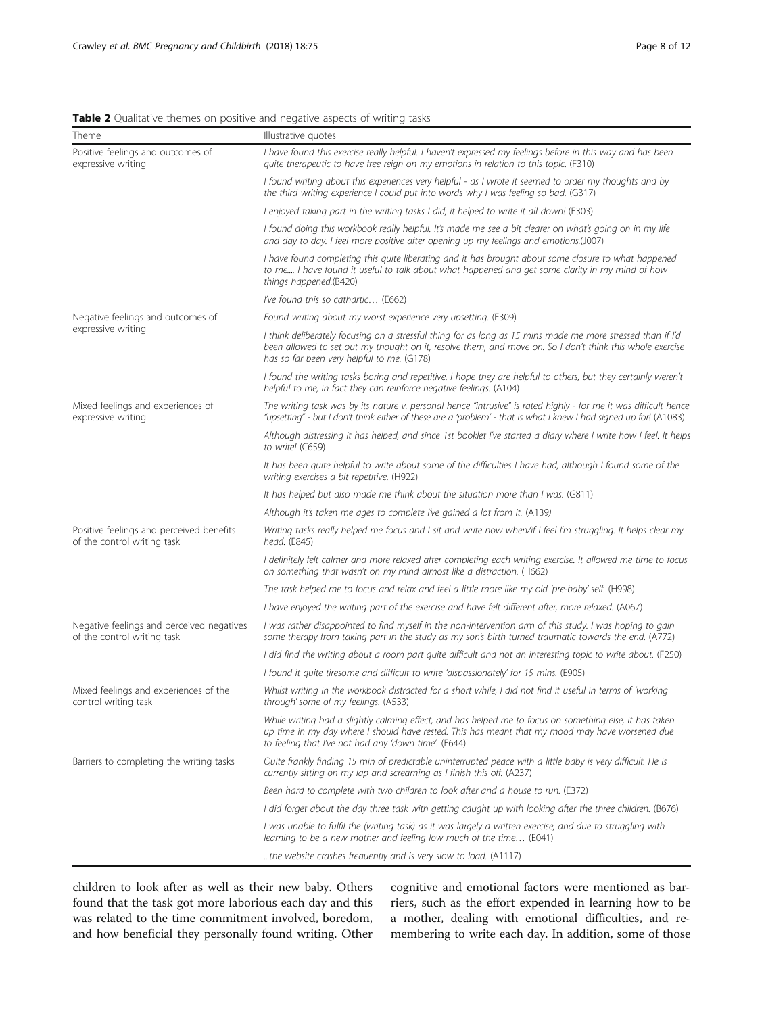## <span id="page-7-0"></span>Table 2 Qualitative themes on positive and negative aspects of writing tasks

| Theme                                                                    | Illustrative quotes                                                                                                                                                                                                                                                    |  |  |  |
|--------------------------------------------------------------------------|------------------------------------------------------------------------------------------------------------------------------------------------------------------------------------------------------------------------------------------------------------------------|--|--|--|
| Positive feelings and outcomes of<br>expressive writing                  | I have found this exercise really helpful. I haven't expressed my feelings before in this way and has been<br>quite therapeutic to have free reign on my emotions in relation to this topic. (F310)                                                                    |  |  |  |
|                                                                          | I found writing about this experiences very helpful - as I wrote it seemed to order my thoughts and by<br>the third writing experience I could put into words why I was feeling so bad. (G317)                                                                         |  |  |  |
|                                                                          | I enjoyed taking part in the writing tasks I did, it helped to write it all down! (E303)                                                                                                                                                                               |  |  |  |
|                                                                          | I found doing this workbook really helpful. It's made me see a bit clearer on what's going on in my life<br>and day to day. I feel more positive after opening up my feelings and emotions.(J007)                                                                      |  |  |  |
|                                                                          | I have found completing this quite liberating and it has brought about some closure to what happened<br>to me I have found it useful to talk about what happened and get some clarity in my mind of how<br>things happened.(B420)                                      |  |  |  |
|                                                                          | I've found this so cathartic (E662)                                                                                                                                                                                                                                    |  |  |  |
| Negative feelings and outcomes of<br>expressive writing                  | Found writing about my worst experience very upsetting. (E309)                                                                                                                                                                                                         |  |  |  |
|                                                                          | I think deliberately focusing on a stressful thing for as long as 15 mins made me more stressed than if I'd<br>been allowed to set out my thought on it, resolve them, and move on. So I don't think this whole exercise<br>has so far been very helpful to me. (G178) |  |  |  |
|                                                                          | I found the writing tasks boring and repetitive. I hope they are helpful to others, but they certainly weren't<br>helpful to me, in fact they can reinforce negative feelings. (A104)                                                                                  |  |  |  |
| Mixed feelings and experiences of<br>expressive writing                  | The writing task was by its nature v. personal hence "intrusive" is rated highly - for me it was difficult hence<br>"upsetting" - but I don't think either of these are a 'problem' - that is what I knew I had signed up for! (A1083)                                 |  |  |  |
|                                                                          | Although distressing it has helped, and since 1st booklet I've started a diary where I write how I feel. It helps<br>to write! (C659)                                                                                                                                  |  |  |  |
|                                                                          | It has been quite helpful to write about some of the difficulties I have had, although I found some of the<br>writing exercises a bit repetitive. (H922)                                                                                                               |  |  |  |
|                                                                          | It has helped but also made me think about the situation more than I was. (G811)                                                                                                                                                                                       |  |  |  |
|                                                                          | Although it's taken me ages to complete I've gained a lot from it. (A139)                                                                                                                                                                                              |  |  |  |
| Positive feelings and perceived benefits<br>of the control writing task  | Writing tasks really helped me focus and I sit and write now when/if I feel I'm struggling. It helps clear my<br>head. (E845)                                                                                                                                          |  |  |  |
|                                                                          | I definitely felt calmer and more relaxed after completing each writing exercise. It allowed me time to focus<br>on something that wasn't on my mind almost like a distraction. (H662)                                                                                 |  |  |  |
|                                                                          | The task helped me to focus and relax and feel a little more like my old 'pre-baby' self. (H998)                                                                                                                                                                       |  |  |  |
|                                                                          | I have enjoyed the writing part of the exercise and have felt different after, more relaxed. (A067)                                                                                                                                                                    |  |  |  |
| Negative feelings and perceived negatives<br>of the control writing task | I was rather disappointed to find myself in the non-intervention arm of this study. I was hoping to gain<br>some therapy from taking part in the study as my son's birth turned traumatic towards the end. (A772)                                                      |  |  |  |
|                                                                          | I did find the writing about a room part quite difficult and not an interesting topic to write about. (F250)                                                                                                                                                           |  |  |  |
|                                                                          | I found it quite tiresome and difficult to write 'dispassionately' for 15 mins. (E905)                                                                                                                                                                                 |  |  |  |
| Mixed feelings and experiences of the<br>control writing task            | Whilst writing in the workbook distracted for a short while, I did not find it useful in terms of 'working<br>through' some of my feelings. (A533)                                                                                                                     |  |  |  |
|                                                                          | While writing had a slightly calming effect, and has helped me to focus on something else, it has taken<br>up time in my day where I should have rested. This has meant that my mood may have worsened due<br>to feeling that I've not had any 'down time'. (E644)     |  |  |  |
| Barriers to completing the writing tasks                                 | Quite frankly finding 15 min of predictable uninterrupted peace with a little baby is very difficult. He is<br>currently sitting on my lap and screaming as I finish this off. (A237)                                                                                  |  |  |  |
|                                                                          | Been hard to complete with two children to look after and a house to run. (E372)                                                                                                                                                                                       |  |  |  |
|                                                                          | I did forget about the day three task with getting caught up with looking after the three children. (B676)                                                                                                                                                             |  |  |  |
|                                                                          | I was unable to fulfil the (writing task) as it was largely a written exercise, and due to struggling with<br>learning to be a new mother and feeling low much of the time (E041)                                                                                      |  |  |  |
|                                                                          | the website crashes frequently and is very slow to load. (A1117).                                                                                                                                                                                                      |  |  |  |

children to look after as well as their new baby. Others found that the task got more laborious each day and this was related to the time commitment involved, boredom, and how beneficial they personally found writing. Other cognitive and emotional factors were mentioned as barriers, such as the effort expended in learning how to be a mother, dealing with emotional difficulties, and remembering to write each day. In addition, some of those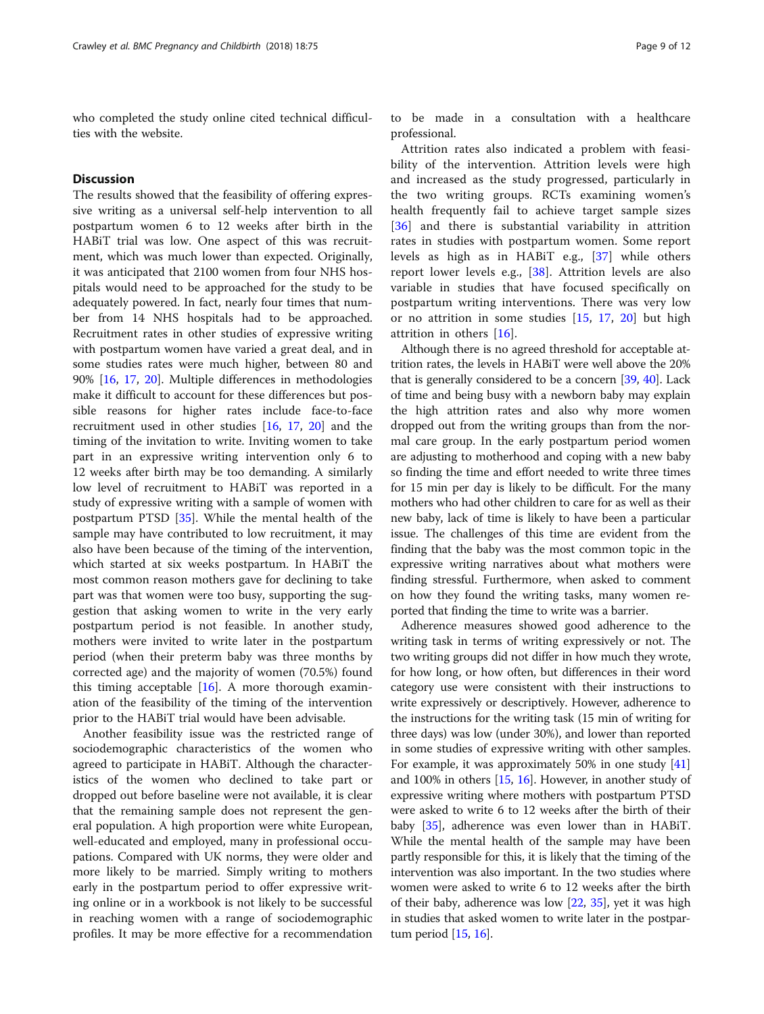who completed the study online cited technical difficulties with the website.

## **Discussion**

The results showed that the feasibility of offering expressive writing as a universal self-help intervention to all postpartum women 6 to 12 weeks after birth in the HABiT trial was low. One aspect of this was recruitment, which was much lower than expected. Originally, it was anticipated that 2100 women from four NHS hospitals would need to be approached for the study to be adequately powered. In fact, nearly four times that number from 14 NHS hospitals had to be approached. Recruitment rates in other studies of expressive writing with postpartum women have varied a great deal, and in some studies rates were much higher, between 80 and 90% [[16](#page-10-0), [17](#page-11-0), [20\]](#page-11-0). Multiple differences in methodologies make it difficult to account for these differences but possible reasons for higher rates include face-to-face recruitment used in other studies [[16](#page-10-0), [17,](#page-11-0) [20](#page-11-0)] and the timing of the invitation to write. Inviting women to take part in an expressive writing intervention only 6 to 12 weeks after birth may be too demanding. A similarly low level of recruitment to HABiT was reported in a study of expressive writing with a sample of women with postpartum PTSD [[35](#page-11-0)]. While the mental health of the sample may have contributed to low recruitment, it may also have been because of the timing of the intervention, which started at six weeks postpartum. In HABiT the most common reason mothers gave for declining to take part was that women were too busy, supporting the suggestion that asking women to write in the very early postpartum period is not feasible. In another study, mothers were invited to write later in the postpartum period (when their preterm baby was three months by corrected age) and the majority of women (70.5%) found this timing acceptable  $[16]$  $[16]$  $[16]$ . A more thorough examination of the feasibility of the timing of the intervention prior to the HABiT trial would have been advisable.

Another feasibility issue was the restricted range of sociodemographic characteristics of the women who agreed to participate in HABiT. Although the characteristics of the women who declined to take part or dropped out before baseline were not available, it is clear that the remaining sample does not represent the general population. A high proportion were white European, well-educated and employed, many in professional occupations. Compared with UK norms, they were older and more likely to be married. Simply writing to mothers early in the postpartum period to offer expressive writing online or in a workbook is not likely to be successful in reaching women with a range of sociodemographic profiles. It may be more effective for a recommendation to be made in a consultation with a healthcare professional.

Attrition rates also indicated a problem with feasibility of the intervention. Attrition levels were high and increased as the study progressed, particularly in the two writing groups. RCTs examining women's health frequently fail to achieve target sample sizes [[36\]](#page-11-0) and there is substantial variability in attrition rates in studies with postpartum women. Some report levels as high as in HABiT e.g., [[37\]](#page-11-0) while others report lower levels e.g., [\[38](#page-11-0)]. Attrition levels are also variable in studies that have focused specifically on postpartum writing interventions. There was very low or no attrition in some studies [[15](#page-10-0), [17,](#page-11-0) [20\]](#page-11-0) but high attrition in others [[16\]](#page-10-0).

Although there is no agreed threshold for acceptable attrition rates, the levels in HABiT were well above the 20% that is generally considered to be a concern [[39,](#page-11-0) [40](#page-11-0)]. Lack of time and being busy with a newborn baby may explain the high attrition rates and also why more women dropped out from the writing groups than from the normal care group. In the early postpartum period women are adjusting to motherhood and coping with a new baby so finding the time and effort needed to write three times for 15 min per day is likely to be difficult. For the many mothers who had other children to care for as well as their new baby, lack of time is likely to have been a particular issue. The challenges of this time are evident from the finding that the baby was the most common topic in the expressive writing narratives about what mothers were finding stressful. Furthermore, when asked to comment on how they found the writing tasks, many women reported that finding the time to write was a barrier.

Adherence measures showed good adherence to the writing task in terms of writing expressively or not. The two writing groups did not differ in how much they wrote, for how long, or how often, but differences in their word category use were consistent with their instructions to write expressively or descriptively. However, adherence to the instructions for the writing task (15 min of writing for three days) was low (under 30%), and lower than reported in some studies of expressive writing with other samples. For example, it was approximately 50% in one study  $[41]$  $[41]$  $[41]$ and 100% in others [[15](#page-10-0), [16](#page-10-0)]. However, in another study of expressive writing where mothers with postpartum PTSD were asked to write 6 to 12 weeks after the birth of their baby [\[35\]](#page-11-0), adherence was even lower than in HABiT. While the mental health of the sample may have been partly responsible for this, it is likely that the timing of the intervention was also important. In the two studies where women were asked to write 6 to 12 weeks after the birth of their baby, adherence was low [\[22,](#page-11-0) [35](#page-11-0)], yet it was high in studies that asked women to write later in the postpartum period [\[15,](#page-10-0) [16](#page-10-0)].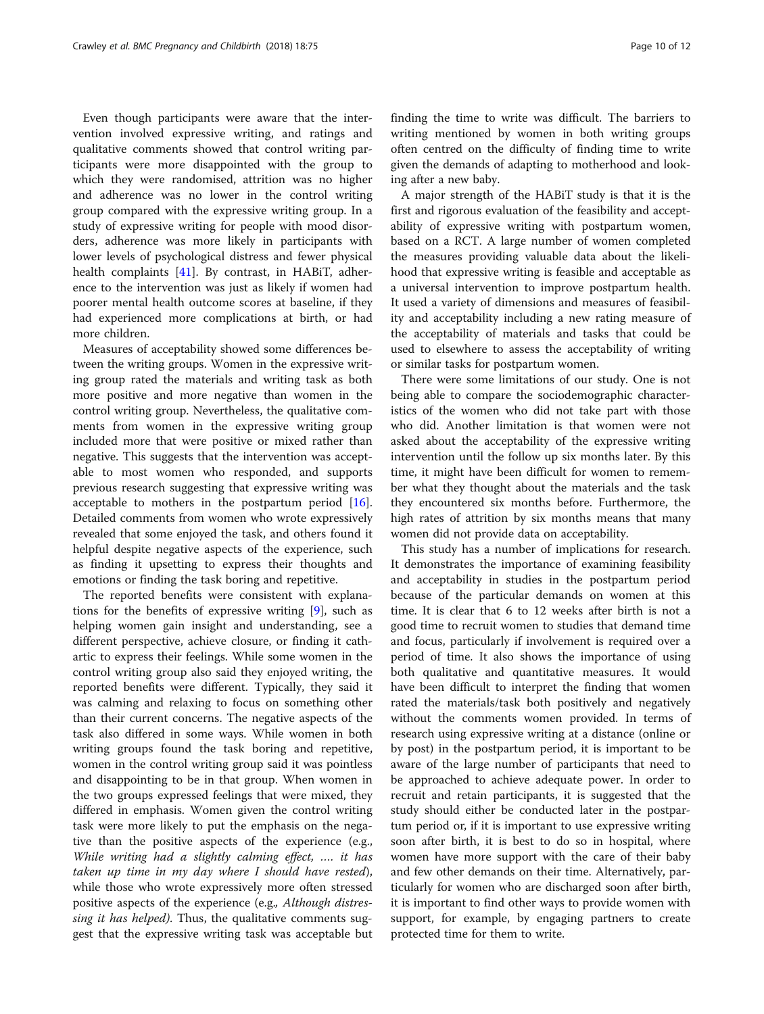Even though participants were aware that the intervention involved expressive writing, and ratings and qualitative comments showed that control writing participants were more disappointed with the group to which they were randomised, attrition was no higher and adherence was no lower in the control writing group compared with the expressive writing group. In a study of expressive writing for people with mood disorders, adherence was more likely in participants with lower levels of psychological distress and fewer physical health complaints [[41\]](#page-11-0). By contrast, in HABiT, adherence to the intervention was just as likely if women had poorer mental health outcome scores at baseline, if they had experienced more complications at birth, or had more children.

Measures of acceptability showed some differences between the writing groups. Women in the expressive writing group rated the materials and writing task as both more positive and more negative than women in the control writing group. Nevertheless, the qualitative comments from women in the expressive writing group included more that were positive or mixed rather than negative. This suggests that the intervention was acceptable to most women who responded, and supports previous research suggesting that expressive writing was acceptable to mothers in the postpartum period [\[16](#page-10-0)]. Detailed comments from women who wrote expressively revealed that some enjoyed the task, and others found it helpful despite negative aspects of the experience, such as finding it upsetting to express their thoughts and emotions or finding the task boring and repetitive.

The reported benefits were consistent with explanations for the benefits of expressive writing [[9\]](#page-10-0), such as helping women gain insight and understanding, see a different perspective, achieve closure, or finding it cathartic to express their feelings. While some women in the control writing group also said they enjoyed writing, the reported benefits were different. Typically, they said it was calming and relaxing to focus on something other than their current concerns. The negative aspects of the task also differed in some ways. While women in both writing groups found the task boring and repetitive, women in the control writing group said it was pointless and disappointing to be in that group. When women in the two groups expressed feelings that were mixed, they differed in emphasis. Women given the control writing task were more likely to put the emphasis on the negative than the positive aspects of the experience (e.g., While writing had a slightly calming effect, …. it has taken up time in my day where I should have rested), while those who wrote expressively more often stressed positive aspects of the experience (e.g., Although distressing it has helped). Thus, the qualitative comments suggest that the expressive writing task was acceptable but finding the time to write was difficult. The barriers to writing mentioned by women in both writing groups often centred on the difficulty of finding time to write given the demands of adapting to motherhood and looking after a new baby.

A major strength of the HABiT study is that it is the first and rigorous evaluation of the feasibility and acceptability of expressive writing with postpartum women, based on a RCT. A large number of women completed the measures providing valuable data about the likelihood that expressive writing is feasible and acceptable as a universal intervention to improve postpartum health. It used a variety of dimensions and measures of feasibility and acceptability including a new rating measure of the acceptability of materials and tasks that could be used to elsewhere to assess the acceptability of writing or similar tasks for postpartum women.

There were some limitations of our study. One is not being able to compare the sociodemographic characteristics of the women who did not take part with those who did. Another limitation is that women were not asked about the acceptability of the expressive writing intervention until the follow up six months later. By this time, it might have been difficult for women to remember what they thought about the materials and the task they encountered six months before. Furthermore, the high rates of attrition by six months means that many women did not provide data on acceptability.

This study has a number of implications for research. It demonstrates the importance of examining feasibility and acceptability in studies in the postpartum period because of the particular demands on women at this time. It is clear that 6 to 12 weeks after birth is not a good time to recruit women to studies that demand time and focus, particularly if involvement is required over a period of time. It also shows the importance of using both qualitative and quantitative measures. It would have been difficult to interpret the finding that women rated the materials/task both positively and negatively without the comments women provided. In terms of research using expressive writing at a distance (online or by post) in the postpartum period, it is important to be aware of the large number of participants that need to be approached to achieve adequate power. In order to recruit and retain participants, it is suggested that the study should either be conducted later in the postpartum period or, if it is important to use expressive writing soon after birth, it is best to do so in hospital, where women have more support with the care of their baby and few other demands on their time. Alternatively, particularly for women who are discharged soon after birth, it is important to find other ways to provide women with support, for example, by engaging partners to create protected time for them to write.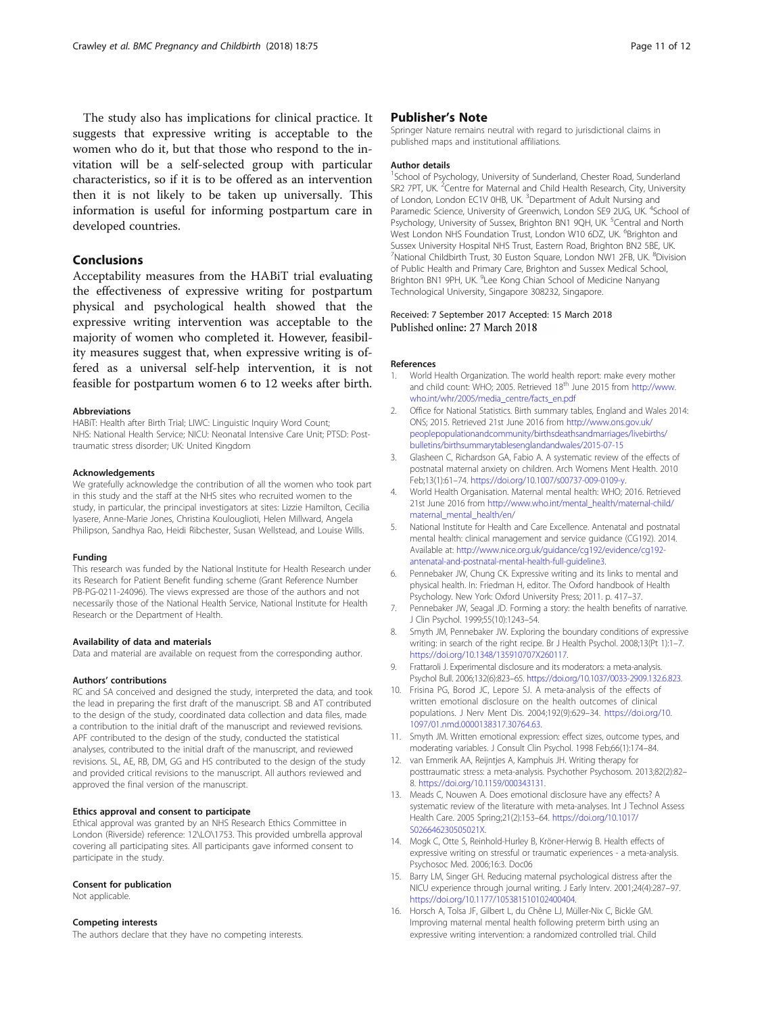<span id="page-10-0"></span>The study also has implications for clinical practice. It suggests that expressive writing is acceptable to the women who do it, but that those who respond to the invitation will be a self-selected group with particular characteristics, so if it is to be offered as an intervention then it is not likely to be taken up universally. This information is useful for informing postpartum care in developed countries.

## Conclusions

Acceptability measures from the HABiT trial evaluating the effectiveness of expressive writing for postpartum physical and psychological health showed that the expressive writing intervention was acceptable to the majority of women who completed it. However, feasibility measures suggest that, when expressive writing is offered as a universal self-help intervention, it is not feasible for postpartum women 6 to 12 weeks after birth.

#### Abbreviations

HABiT: Health after Birth Trial; LIWC: Linguistic Inquiry Word Count; NHS: National Health Service; NICU: Neonatal Intensive Care Unit; PTSD: Posttraumatic stress disorder; UK: United Kingdom

#### Acknowledgements

We gratefully acknowledge the contribution of all the women who took part in this study and the staff at the NHS sites who recruited women to the study, in particular, the principal investigators at sites: Lizzie Hamilton, Cecilia Iyasere, Anne-Marie Jones, Christina Koulouglioti, Helen Millward, Angela Philipson, Sandhya Rao, Heidi Ribchester, Susan Wellstead, and Louise Wills.

#### Funding

This research was funded by the National Institute for Health Research under its Research for Patient Benefit funding scheme (Grant Reference Number PB-PG-0211-24096). The views expressed are those of the authors and not necessarily those of the National Health Service, National Institute for Health Research or the Department of Health.

#### Availability of data and materials

Data and material are available on request from the corresponding author.

#### Authors' contributions

RC and SA conceived and designed the study, interpreted the data, and took the lead in preparing the first draft of the manuscript. SB and AT contributed to the design of the study, coordinated data collection and data files, made a contribution to the initial draft of the manuscript and reviewed revisions. APF contributed to the design of the study, conducted the statistical analyses, contributed to the initial draft of the manuscript, and reviewed revisions. SL, AE, RB, DM, GG and HS contributed to the design of the study and provided critical revisions to the manuscript. All authors reviewed and approved the final version of the manuscript.

#### Ethics approval and consent to participate

Ethical approval was granted by an NHS Research Ethics Committee in London (Riverside) reference: 12\LO\1753. This provided umbrella approval covering all participating sites. All participants gave informed consent to participate in the study.

#### Consent for publication

Not applicable.

#### Competing interests

The authors declare that they have no competing interests.

Springer Nature remains neutral with regard to jurisdictional claims in published maps and institutional affiliations.

#### Author details

<sup>1</sup>School of Psychology, University of Sunderland, Chester Road, Sunderland SR2 7PT, UK.<sup>2</sup> Centre for Maternal and Child Health Research, City, University of London, London EC1V 0HB, UK. <sup>3</sup>Department of Adult Nursing and Paramedic Science, University of Greenwich, London SE9 2UG, UK. <sup>4</sup>School of Psychology, University of Sussex, Brighton BN1 9QH, UK.<sup>5</sup> Central and North West London NHS Foundation Trust, London W10 6DZ, UK. <sup>6</sup>Brighton and Sussex University Hospital NHS Trust, Eastern Road, Brighton BN2 5BE, UK. <sup>7</sup> National Childbirth Trust, 30 Euston Square, London NW1 2FB, UK. <sup>8</sup> Division of Public Health and Primary Care, Brighton and Sussex Medical School, Brighton BN1 9PH, UK. <sup>9</sup>Lee Kong Chian School of Medicine Nanyang Technological University, Singapore 308232, Singapore.

#### Received: 7 September 2017 Accepted: 15 March 2018 Published online: 27 March 2018

#### References

- 1. World Health Organization. The world health report: make every mother and child count: WHO; 2005. Retrieved 18<sup>th</sup> June 2015 from [http://www.](http://www.who.int/whr/2005/media_centre/facts_en.pdf) [who.int/whr/2005/media\\_centre/facts\\_en.pdf](http://www.who.int/whr/2005/media_centre/facts_en.pdf)
- 2. Office for National Statistics. Birth summary tables, England and Wales 2014: ONS; 2015. Retrieved 21st June 2016 from [http://www.ons.gov.uk/](http://www.ons.gov.uk/peoplepopulationandcommunity/birthsdeathsandmarriages/livebirths/bulletins/birthsummarytablesenglandandwales/2015-07-15) [peoplepopulationandcommunity/birthsdeathsandmarriages/livebirths/](http://www.ons.gov.uk/peoplepopulationandcommunity/birthsdeathsandmarriages/livebirths/bulletins/birthsummarytablesenglandandwales/2015-07-15) [bulletins/birthsummarytablesenglandandwales/2015-07-15](http://www.ons.gov.uk/peoplepopulationandcommunity/birthsdeathsandmarriages/livebirths/bulletins/birthsummarytablesenglandandwales/2015-07-15)
- 3. Glasheen C, Richardson GA, Fabio A. A systematic review of the effects of postnatal maternal anxiety on children. Arch Womens Ment Health. 2010 Feb;13(1):61–74. <https://doi.org/10.1007/s00737-009-0109-y>.
- 4. World Health Organisation. Maternal mental health: WHO; 2016. Retrieved 21st June 2016 from [http://www.who.int/mental\\_health/maternal-child/](http://www.who.int/mental_health/maternal-child/maternal_mental_health/en/) [maternal\\_mental\\_health/en/](http://www.who.int/mental_health/maternal-child/maternal_mental_health/en/)
- 5. National Institute for Health and Care Excellence. Antenatal and postnatal mental health: clinical management and service guidance (CG192). 2014. Available at: [http://www.nice.org.uk/guidance/cg192/evidence/cg192](http://www.nice.org.uk/guidance/cg192/evidence/cg192-antenatal-and-postnatal-mental-health-full-guideline3) [antenatal-and-postnatal-mental-health-full-guideline3.](http://www.nice.org.uk/guidance/cg192/evidence/cg192-antenatal-and-postnatal-mental-health-full-guideline3)
- 6. Pennebaker JW, Chung CK. Expressive writing and its links to mental and physical health. In: Friedman H, editor. The Oxford handbook of Health Psychology. New York: Oxford University Press; 2011. p. 417–37.
- Pennebaker JW, Seagal JD. Forming a story: the health benefits of narrative. J Clin Psychol. 1999;55(10):1243–54.
- 8. Smyth JM, Pennebaker JW. Exploring the boundary conditions of expressive writing: in search of the right recipe. Br J Health Psychol. 2008;13(Pt 1):1–7. [https://doi.org/10.1348/135910707X260117.](https://doi.org/10.1348/135910707X260117)
- 9. Frattaroli J. Experimental disclosure and its moderators: a meta-analysis. Psychol Bull. 2006;132(6):823–65. [https://doi.org/10.1037/0033-2909.132.6.823.](https://doi.org/10.1037/0033-2909.132.6.823)
- 10. Frisina PG, Borod JC, Lepore SJ. A meta-analysis of the effects of written emotional disclosure on the health outcomes of clinical populations. J Nerv Ment Dis. 2004;192(9):629–34. [https://doi.org/10.](https://doi.org/10.1097/01.nmd.0000138317.30764.63) [1097/01.nmd.0000138317.30764.63.](https://doi.org/10.1097/01.nmd.0000138317.30764.63)
- 11. Smyth JM. Written emotional expression: effect sizes, outcome types, and moderating variables. J Consult Clin Psychol. 1998 Feb;66(1):174–84.
- 12. van Emmerik AA, Reijntjes A, Kamphuis JH. Writing therapy for posttraumatic stress: a meta-analysis. Psychother Psychosom. 2013;82(2):82– 8. <https://doi.org/10.1159/000343131>.
- 13. Meads C, Nouwen A. Does emotional disclosure have any effects? A systematic review of the literature with meta-analyses. Int J Technol Assess Health Care. 2005 Spring;21(2):153–64. [https://doi.org/10.1017/](https://doi.org/10.1017/S026646230505021X) [S026646230505021X](https://doi.org/10.1017/S026646230505021X).
- 14. Mogk C, Otte S, Reinhold-Hurley B, Kröner-Herwig B. Health effects of expressive writing on stressful or traumatic experiences - a meta-analysis. Psychosoc Med. 2006;16:3. Doc06
- 15. Barry LM, Singer GH. Reducing maternal psychological distress after the NICU experience through journal writing. J Early Interv. 2001;24(4):287–97. <https://doi.org/10.1177/105381510102400404>.
- 16. Horsch A, Tolsa JF, Gilbert L, du Chêne LJ, Müller-Nix C, Bickle GM. Improving maternal mental health following preterm birth using an expressive writing intervention: a randomized controlled trial. Child